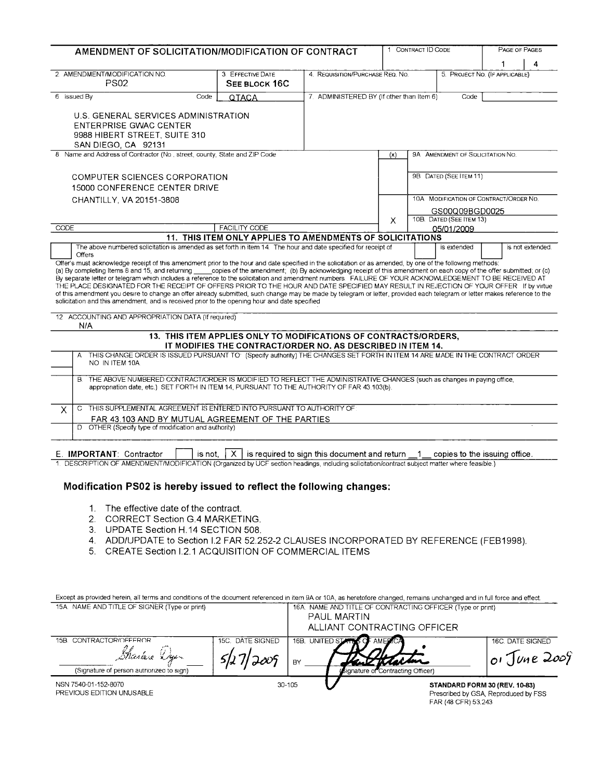| AMENDMENT OF SOLICITATION/MODIFICATION OF CONTRACT                                                                                                                                                                                                                                                                                                                                                                                                                                                                                                                                                                                                                                                                                                                                                                                                                                                                                    |        |                                                                  |                                                   | 1 CONTRACT ID CODE             |                  |                                                                                                                | PAGE OF PAGES |   |
|---------------------------------------------------------------------------------------------------------------------------------------------------------------------------------------------------------------------------------------------------------------------------------------------------------------------------------------------------------------------------------------------------------------------------------------------------------------------------------------------------------------------------------------------------------------------------------------------------------------------------------------------------------------------------------------------------------------------------------------------------------------------------------------------------------------------------------------------------------------------------------------------------------------------------------------|--------|------------------------------------------------------------------|---------------------------------------------------|--------------------------------|------------------|----------------------------------------------------------------------------------------------------------------|---------------|---|
|                                                                                                                                                                                                                                                                                                                                                                                                                                                                                                                                                                                                                                                                                                                                                                                                                                                                                                                                       |        |                                                                  |                                                   |                                |                  |                                                                                                                | 1             | 4 |
| 2. AMENDMENT/MODIFICATION NO.<br>PS02                                                                                                                                                                                                                                                                                                                                                                                                                                                                                                                                                                                                                                                                                                                                                                                                                                                                                                 |        | 3. EFFECTIVE DATE<br>SEE BLOCK 16C                               | 4. REQUISITION/PURCHASE REQ. NO.                  | 5. PROJECT NO. (IF APPLICABLE) |                  |                                                                                                                |               |   |
| 6 Issued By                                                                                                                                                                                                                                                                                                                                                                                                                                                                                                                                                                                                                                                                                                                                                                                                                                                                                                                           | Code   | <b>QTACA</b>                                                     | 7. ADMINISTERED BY (If other than Item 6)<br>Code |                                |                  |                                                                                                                |               |   |
| U.S. GENERAL SERVICES ADMINISTRATION<br><b>ENTERPRISE GWAC CENTER</b><br>9988 HIBERT STREET, SUITE 310<br>SAN DIEGO, CA 92131                                                                                                                                                                                                                                                                                                                                                                                                                                                                                                                                                                                                                                                                                                                                                                                                         |        |                                                                  |                                                   |                                |                  |                                                                                                                |               |   |
| 8. Name and Address of Contractor (No., street, county, State and ZIP Code                                                                                                                                                                                                                                                                                                                                                                                                                                                                                                                                                                                                                                                                                                                                                                                                                                                            |        |                                                                  |                                                   | (x)                            |                  | 9A AMENDMENT OF SOLICITATION NO.                                                                               |               |   |
| <b>COMPUTER SCIENCES CORPORATION</b><br>15000 CONFERENCE CENTER DRIVE<br>CHANTILLY, VA 20151-3808                                                                                                                                                                                                                                                                                                                                                                                                                                                                                                                                                                                                                                                                                                                                                                                                                                     |        |                                                                  |                                                   | X                              |                  | 9B DATED (SEE ITEM 11)<br>10A MODIFICATION OF CONTRACT/ORDER NO.<br>GS00Q09BGD0025<br>10B. DATED (SEE ITEM 13) |               |   |
| CODE                                                                                                                                                                                                                                                                                                                                                                                                                                                                                                                                                                                                                                                                                                                                                                                                                                                                                                                                  |        | <b>FACILITY CODE</b>                                             |                                                   |                                |                  | 05/01/2009                                                                                                     |               |   |
| The above numbered solicitation is amended as set forth in item 14. The hour and date specified for receipt of                                                                                                                                                                                                                                                                                                                                                                                                                                                                                                                                                                                                                                                                                                                                                                                                                        |        | 11. THIS ITEM ONLY APPLIES TO AMENDMENTS OF SOLICITATIONS        |                                                   |                                |                  |                                                                                                                |               |   |
| <b>Offers</b><br>Offer's must acknowledge receipt of this amendment prior to the hour and date specified in the solicitation or as amended, by one of the following methods:<br>(a) By completing Items 8 and 15, and returning copies of the amendment; (b) By acknowledging receipt of this amendment on each copy of the offer submitted; or (c)<br>By separate letter or telegram which includes a reference to the solicitation and amendment numbers. FAILURE OF YOUR ACKNOWLEDGEMENT TO BE RECEIVED AT<br>THE PLACE DESIGNATED FOR THE RECEIPT OF OFFERS PRIOR TO THE HOUR AND DATE SPECIFIED MAY RESULT IN REJECTION OF YOUR OFFER If by virtue<br>of this amendment you desire to change an offer already submitted, such change may be made by telegram or letter, provided each telegram or letter makes reference to the<br>solicitation and this amendment, and is received prior to the opening hour and date specified |        |                                                                  |                                                   |                                |                  |                                                                                                                |               |   |
| 12 ACCOUNTING AND APPROPRIATION DATA (If required)                                                                                                                                                                                                                                                                                                                                                                                                                                                                                                                                                                                                                                                                                                                                                                                                                                                                                    |        |                                                                  |                                                   |                                |                  |                                                                                                                |               |   |
| N/A                                                                                                                                                                                                                                                                                                                                                                                                                                                                                                                                                                                                                                                                                                                                                                                                                                                                                                                                   |        | 13. THIS ITEM APPLIES ONLY TO MODIFICATIONS OF CONTRACTS/ORDERS, |                                                   |                                |                  |                                                                                                                |               |   |
|                                                                                                                                                                                                                                                                                                                                                                                                                                                                                                                                                                                                                                                                                                                                                                                                                                                                                                                                       |        | IT MODIFIES THE CONTRACT/ORDER NO. AS DESCRIBED IN ITEM 14.      |                                                   |                                |                  |                                                                                                                |               |   |
| THIS CHANGE ORDER IS ISSUED PURSUANT TO (Specify authority) THE CHANGES SET FORTH IN ITEM 14 ARE MADE IN THE CONTRACT ORDER<br>A<br>NO IN ITEM 10A.                                                                                                                                                                                                                                                                                                                                                                                                                                                                                                                                                                                                                                                                                                                                                                                   |        |                                                                  |                                                   |                                |                  |                                                                                                                |               |   |
| B. THE ABOVE NUMBERED CONTRACT/ORDER IS MODIFIED TO REFLECT THE ADMINISTRATIVE CHANGES (such as changes in paying office,<br>appropriation date, etc.) SET FORTH IN ITEM 14, PURSUANT TO THE AUTHORITY OF FAR 43.103(b).                                                                                                                                                                                                                                                                                                                                                                                                                                                                                                                                                                                                                                                                                                              |        |                                                                  |                                                   |                                |                  |                                                                                                                |               |   |
| THIS SUPPLEMENTAL AGREEMENT IS ENTERED INTO PURSUANT TO AUTHORITY OF<br>$\mathbf C$<br>X                                                                                                                                                                                                                                                                                                                                                                                                                                                                                                                                                                                                                                                                                                                                                                                                                                              |        |                                                                  |                                                   |                                |                  |                                                                                                                |               |   |
| FAR 43.103 AND BY MUTUAL AGREEMENT OF THE PARTIES<br>D OTHER (Specify type of modification and authority)                                                                                                                                                                                                                                                                                                                                                                                                                                                                                                                                                                                                                                                                                                                                                                                                                             |        |                                                                  |                                                   |                                |                  |                                                                                                                |               |   |
|                                                                                                                                                                                                                                                                                                                                                                                                                                                                                                                                                                                                                                                                                                                                                                                                                                                                                                                                       |        |                                                                  |                                                   |                                |                  |                                                                                                                |               |   |
| E. IMPORTANT: Contractor<br>1. DESCRIPTION OF AMENDMENT/MODIFICATION (Organized by UCF section headings, including solicitation/contract subject matter where feasible.)                                                                                                                                                                                                                                                                                                                                                                                                                                                                                                                                                                                                                                                                                                                                                              | is not |                                                                  | $X$ is required to sign this document and return  |                                | $\blacksquare$ 1 | copies to the issuing office.                                                                                  |               |   |
|                                                                                                                                                                                                                                                                                                                                                                                                                                                                                                                                                                                                                                                                                                                                                                                                                                                                                                                                       |        |                                                                  |                                                   |                                |                  |                                                                                                                |               |   |

# Modification PS02 is hereby issued to reflect the following changes:

- 1. The effective date of the contract.
- 2. CORRECT Section G.4 MARKETING.
- 3. UPDATE Section H.14 SECTION 508.
- 4. ADD/UPDATE to Section 1.2 FAR 52.252-2 CLAUSES INCORPORATED BY REFERENCE (FEB1998).
- 5. CREATE Section I.2.1 ACQUISITION OF COMMERCIAL ITEMS

| Except as provided herein, all terms and conditions of the document referenced in item 9A or 10A, as heretofore changed, remains unchanged and in full force and effect. |                                                                            |        |                                    |                                                      |                                      |
|--------------------------------------------------------------------------------------------------------------------------------------------------------------------------|----------------------------------------------------------------------------|--------|------------------------------------|------------------------------------------------------|--------------------------------------|
| 15A. NAME AND TITLE OF SIGNER (Type or print)                                                                                                                            | 16A. NAME AND TITLE OF CONTRACTING OFFICER (Type or print).<br>PAUL MARTIN |        |                                    |                                                      |                                      |
|                                                                                                                                                                          |                                                                            |        |                                    |                                                      |                                      |
|                                                                                                                                                                          |                                                                            |        | ALLIANT CONTRACTING OFFICER        |                                                      |                                      |
| 15B. CONTRACTOR/OFFEROR                                                                                                                                                  | 15C. DATE SIGNED                                                           | 16B.   | UNITED STATES OF AMERICA           |                                                      | 16C. DATE SIGNED                     |
| Gharlese Dyen                                                                                                                                                            |                                                                            | BY     |                                    |                                                      | $o!$ June 2009                       |
| (Signature of person authorized to sign)                                                                                                                                 |                                                                            |        | (Signature of Contracting Officer) |                                                      |                                      |
| NSN 7540-01-152-8070<br>PREVIOUS EDITION UNUSABLE                                                                                                                        |                                                                            | 30-105 |                                    | STANDARD FORM 30 (REV. 10-83)<br>FAR (48 CFR) 53.243 | Prescribed by GSA, Reproduced by FSS |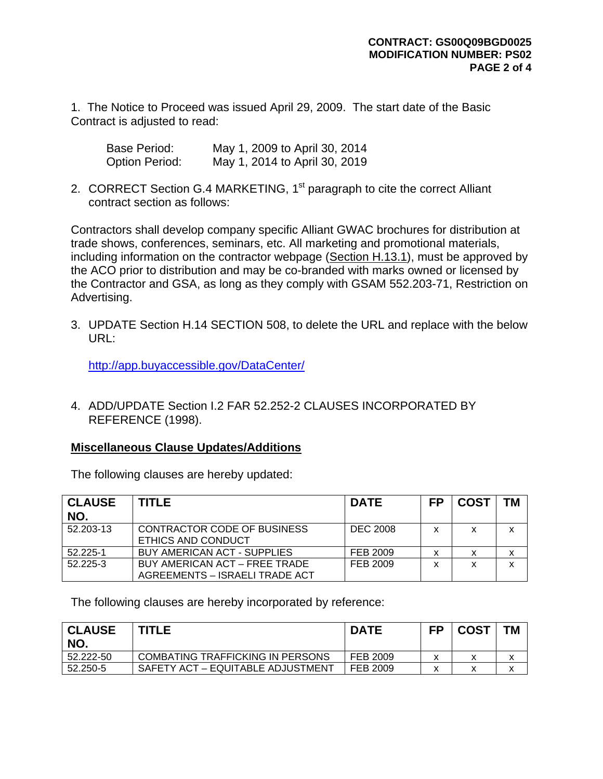1. The Notice to Proceed was issued April 29, 2009. The start date of the Basic Contract is adjusted to read:

| Base Period:          | May 1, 2009 to April 30, 2014 |
|-----------------------|-------------------------------|
| <b>Option Period:</b> | May 1, 2014 to April 30, 2019 |

2. CORRECT Section G.4 MARKETING, 1<sup>st</sup> paragraph to cite the correct Alliant contract section as follows:

Contractors shall develop company specific Alliant GWAC brochures for distribution at trade shows, conferences, seminars, etc. All marketing and promotional materials, including information on the contractor webpage (Section H.13.1), must be approved by the ACO prior to distribution and may be co-branded with marks owned or licensed by the Contractor and GSA, as long as they comply with GSAM 552.203-71, Restriction on Advertising.

3. UPDATE Section H.14 SECTION 508, to delete the URL and replace with the below URL:

<http://app.buyaccessible.gov/DataCenter/>

4. ADD/UPDATE Section I.2 FAR 52.252-2 CLAUSES INCORPORATED BY REFERENCE (1998).

#### **Miscellaneous Clause Updates/Additions**

The following clauses are hereby updated:

| <b>CLAUSE</b><br>NO. | <b>TITLE</b>                                                    | <b>DATE</b>     | <b>FP</b> | <b>COST</b> | <b>TM</b> |
|----------------------|-----------------------------------------------------------------|-----------------|-----------|-------------|-----------|
| 52.203-13            | CONTRACTOR CODE OF BUSINESS<br><b>ETHICS AND CONDUCT</b>        | <b>DEC 2008</b> | x         | x           | x         |
| 52.225-1             | BUY AMERICAN ACT - SUPPLIES                                     | FEB 2009        | x         |             | x         |
| 52.225-3             | BUY AMERICAN ACT - FREE TRADE<br>AGREEMENTS - ISRAELI TRADE ACT | FEB 2009        | x         | x           | x         |

The following clauses are hereby incorporated by reference:

| <b>CLAUSE</b><br>NO. | <b>TITLE</b>                      | <b>DATE</b> | FP | <b>COST</b> | <b>TM</b> |
|----------------------|-----------------------------------|-------------|----|-------------|-----------|
| 52.222-50            | COMBATING TRAFFICKING IN PERSONS  | FEB 2009    |    |             |           |
| 52.250-5             | SAFETY ACT – EQUITABLE ADJUSTMENT | FEB 2009    |    |             |           |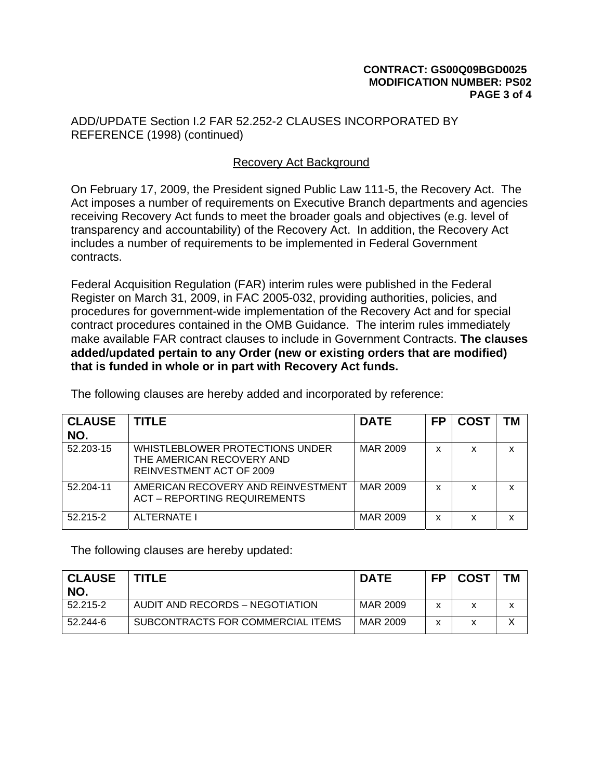### **CONTRACT: GS00Q09BGD0025 MODIFICATION NUMBER: PS02 PAGE 3 of 4**

ADD/UPDATE Section I.2 FAR 52.252-2 CLAUSES INCORPORATED BY REFERENCE (1998) (continued)

## Recovery Act Background

On February 17, 2009, the President signed Public Law 111-5, the Recovery Act. The Act imposes a number of requirements on Executive Branch departments and agencies receiving Recovery Act funds to meet the broader goals and objectives (e.g. level of transparency and accountability) of the Recovery Act. In addition, the Recovery Act includes a number of requirements to be implemented in Federal Government contracts.

Federal Acquisition Regulation (FAR) interim rules were published in the Federal Register on March 31, 2009, in FAC 2005-032, providing authorities, policies, and procedures for government-wide implementation of the Recovery Act and for special contract procedures contained in the OMB Guidance. The interim rules immediately make available FAR contract clauses to include in Government Contracts. **The clauses added/updated pertain to any Order (new or existing orders that are modified) that is funded in whole or in part with Recovery Act funds.** 

| <b>CLAUSE</b><br>NO. | TITLE                                                                                    | <b>DATE</b> | <b>FP</b> | <b>COST</b> | <b>TM</b> |
|----------------------|------------------------------------------------------------------------------------------|-------------|-----------|-------------|-----------|
| 52.203-15            | WHISTLEBLOWER PROTECTIONS UNDER<br>THE AMERICAN RECOVERY AND<br>REINVESTMENT ACT OF 2009 | MAR 2009    | x         | x           | x         |
| 52.204-11            | AMERICAN RECOVERY AND REINVESTMENT<br><b>ACT - REPORTING REQUIREMENTS</b>                | MAR 2009    | x         | x           | X         |
| 52.215-2             | ALTERNATE I                                                                              | MAR 2009    | x         | x           | x         |

The following clauses are hereby added and incorporated by reference:

The following clauses are hereby updated:

| <b>CLAUSE</b><br>NO. | <b>TITLE</b>                      | <b>DATE</b> | <b>FP</b>    | <b>COST</b> | TМ |
|----------------------|-----------------------------------|-------------|--------------|-------------|----|
| 52.215-2             | AUDIT AND RECORDS - NEGOTIATION   | MAR 2009    | $\checkmark$ |             |    |
| 52.244-6             | SUBCONTRACTS FOR COMMERCIAL ITEMS | MAR 2009    | x            |             |    |